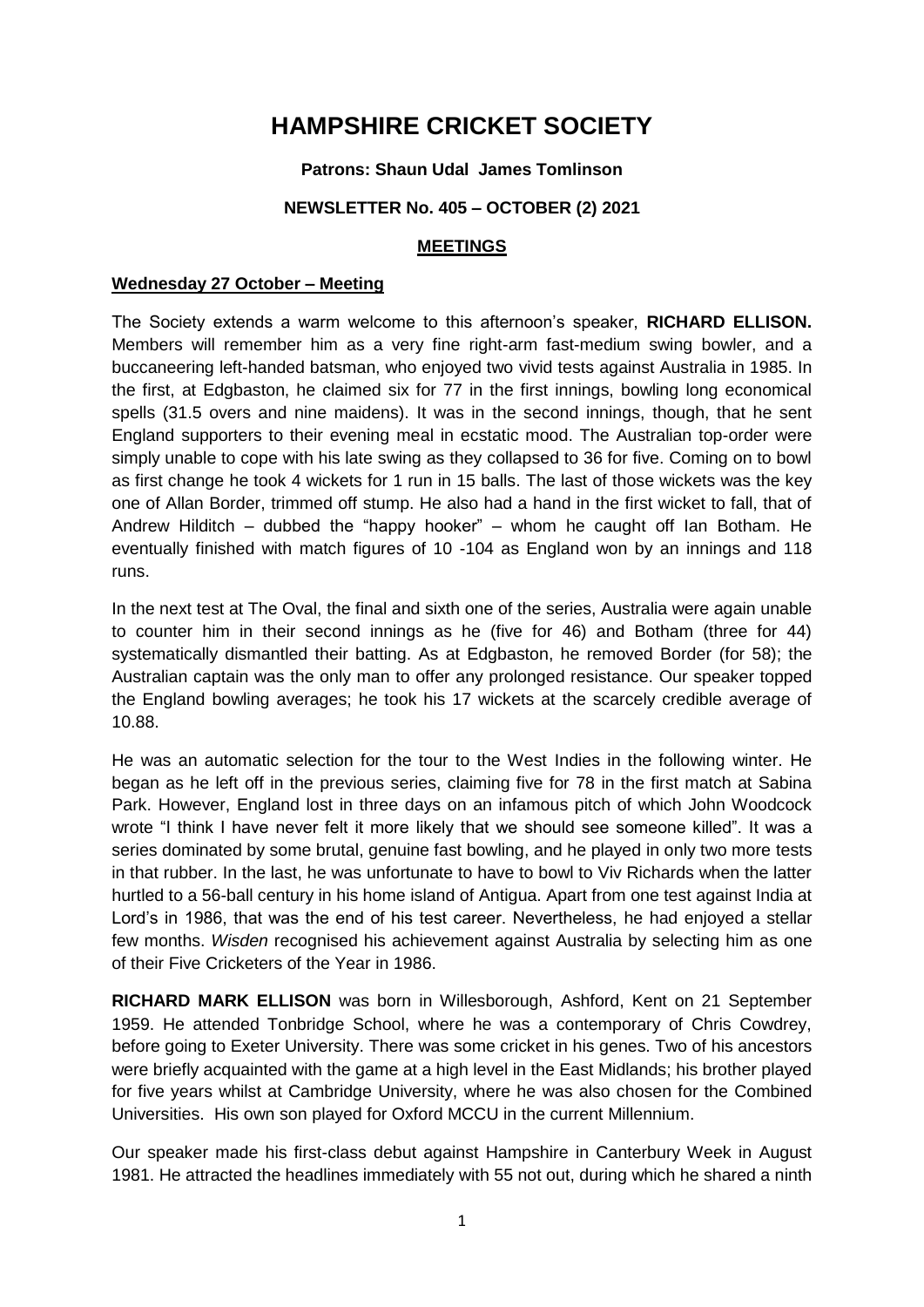# **HAMPSHIRE CRICKET SOCIETY**

#### **Patrons: Shaun Udal James Tomlinson**

#### **NEWSLETTER No. 405 – OCTOBER (2) 2021**

#### **MEETINGS**

#### **Wednesday 27 October – Meeting**

The Society extends a warm welcome to this afternoon's speaker, **RICHARD ELLISON.**  Members will remember him as a very fine right-arm fast-medium swing bowler, and a buccaneering left-handed batsman, who enjoyed two vivid tests against Australia in 1985. In the first, at Edgbaston, he claimed six for 77 in the first innings, bowling long economical spells (31.5 overs and nine maidens). It was in the second innings, though, that he sent England supporters to their evening meal in ecstatic mood. The Australian top-order were simply unable to cope with his late swing as they collapsed to 36 for five. Coming on to bowl as first change he took 4 wickets for 1 run in 15 balls. The last of those wickets was the key one of Allan Border, trimmed off stump. He also had a hand in the first wicket to fall, that of Andrew Hilditch – dubbed the "happy hooker" – whom he caught off Ian Botham. He eventually finished with match figures of 10 -104 as England won by an innings and 118 runs.

In the next test at The Oval, the final and sixth one of the series, Australia were again unable to counter him in their second innings as he (five for 46) and Botham (three for 44) systematically dismantled their batting. As at Edgbaston, he removed Border (for 58); the Australian captain was the only man to offer any prolonged resistance. Our speaker topped the England bowling averages; he took his 17 wickets at the scarcely credible average of 10.88.

He was an automatic selection for the tour to the West Indies in the following winter. He began as he left off in the previous series, claiming five for 78 in the first match at Sabina Park. However, England lost in three days on an infamous pitch of which John Woodcock wrote "I think I have never felt it more likely that we should see someone killed". It was a series dominated by some brutal, genuine fast bowling, and he played in only two more tests in that rubber. In the last, he was unfortunate to have to bowl to Viv Richards when the latter hurtled to a 56-ball century in his home island of Antigua. Apart from one test against India at Lord's in 1986, that was the end of his test career. Nevertheless, he had enjoyed a stellar few months. *Wisden* recognised his achievement against Australia by selecting him as one of their Five Cricketers of the Year in 1986.

**RICHARD MARK ELLISON** was born in Willesborough, Ashford, Kent on 21 September 1959. He attended Tonbridge School, where he was a contemporary of Chris Cowdrey, before going to Exeter University. There was some cricket in his genes. Two of his ancestors were briefly acquainted with the game at a high level in the East Midlands; his brother played for five years whilst at Cambridge University, where he was also chosen for the Combined Universities. His own son played for Oxford MCCU in the current Millennium.

Our speaker made his first-class debut against Hampshire in Canterbury Week in August 1981. He attracted the headlines immediately with 55 not out, during which he shared a ninth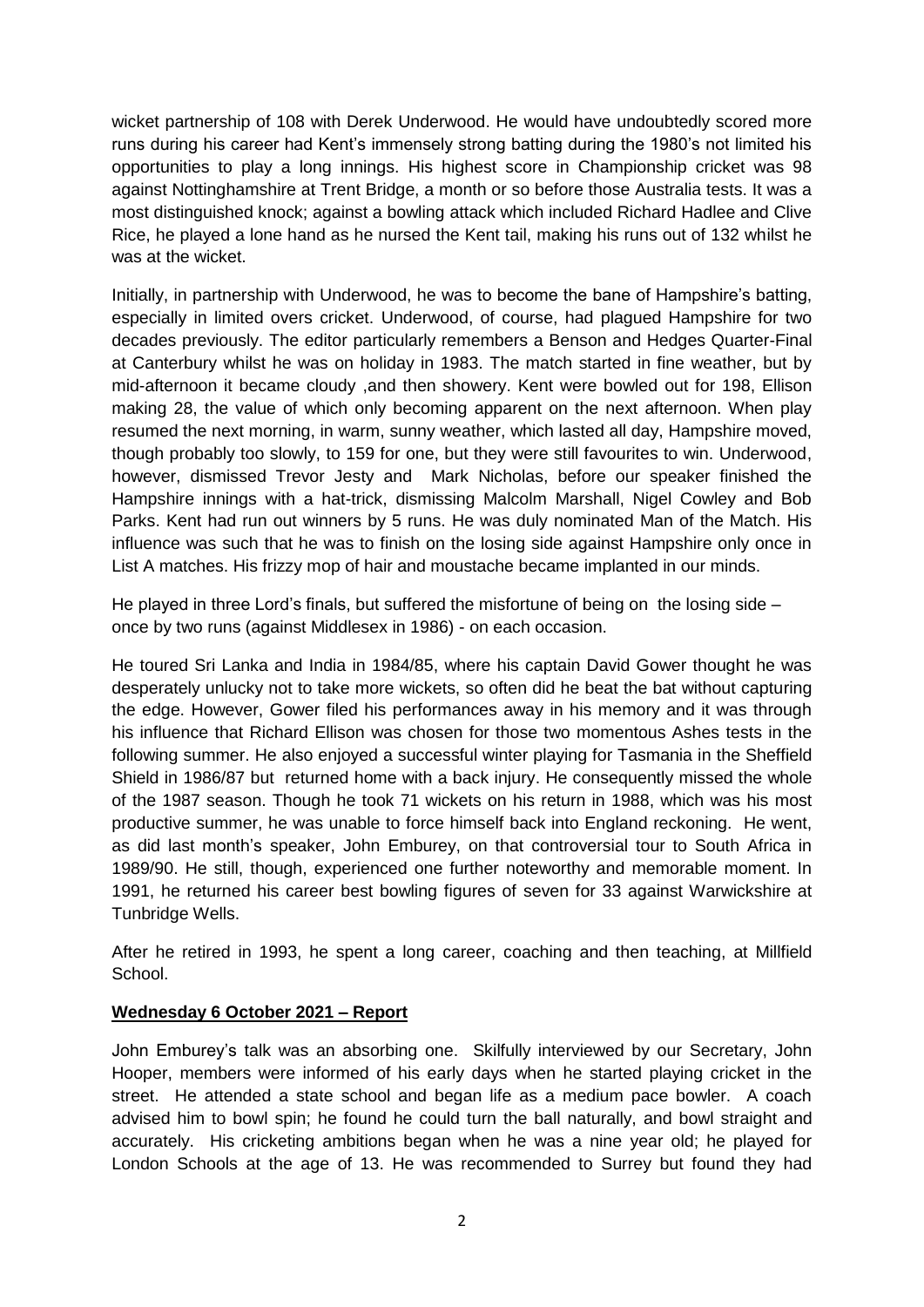wicket partnership of 108 with Derek Underwood. He would have undoubtedly scored more runs during his career had Kent's immensely strong batting during the 1980's not limited his opportunities to play a long innings. His highest score in Championship cricket was 98 against Nottinghamshire at Trent Bridge, a month or so before those Australia tests. It was a most distinguished knock; against a bowling attack which included Richard Hadlee and Clive Rice, he played a lone hand as he nursed the Kent tail, making his runs out of 132 whilst he was at the wicket.

Initially, in partnership with Underwood, he was to become the bane of Hampshire's batting, especially in limited overs cricket. Underwood, of course, had plagued Hampshire for two decades previously. The editor particularly remembers a Benson and Hedges Quarter-Final at Canterbury whilst he was on holiday in 1983. The match started in fine weather, but by mid-afternoon it became cloudy ,and then showery. Kent were bowled out for 198, Ellison making 28, the value of which only becoming apparent on the next afternoon. When play resumed the next morning, in warm, sunny weather, which lasted all day, Hampshire moved, though probably too slowly, to 159 for one, but they were still favourites to win. Underwood, however, dismissed Trevor Jesty and Mark Nicholas, before our speaker finished the Hampshire innings with a hat-trick, dismissing Malcolm Marshall, Nigel Cowley and Bob Parks. Kent had run out winners by 5 runs. He was duly nominated Man of the Match. His influence was such that he was to finish on the losing side against Hampshire only once in List A matches. His frizzy mop of hair and moustache became implanted in our minds.

He played in three Lord's finals, but suffered the misfortune of being on the losing side – once by two runs (against Middlesex in 1986) - on each occasion.

He toured Sri Lanka and India in 1984/85, where his captain David Gower thought he was desperately unlucky not to take more wickets, so often did he beat the bat without capturing the edge. However, Gower filed his performances away in his memory and it was through his influence that Richard Ellison was chosen for those two momentous Ashes tests in the following summer. He also enjoyed a successful winter playing for Tasmania in the Sheffield Shield in 1986/87 but returned home with a back injury. He consequently missed the whole of the 1987 season. Though he took 71 wickets on his return in 1988, which was his most productive summer, he was unable to force himself back into England reckoning. He went, as did last month's speaker, John Emburey, on that controversial tour to South Africa in 1989/90. He still, though, experienced one further noteworthy and memorable moment. In 1991, he returned his career best bowling figures of seven for 33 against Warwickshire at Tunbridge Wells.

After he retired in 1993, he spent a long career, coaching and then teaching, at Millfield School.

#### **Wednesday 6 October 2021 – Report**

John Emburey's talk was an absorbing one. Skilfully interviewed by our Secretary, John Hooper, members were informed of his early days when he started playing cricket in the street. He attended a state school and began life as a medium pace bowler. A coach advised him to bowl spin; he found he could turn the ball naturally, and bowl straight and accurately. His cricketing ambitions began when he was a nine year old; he played for London Schools at the age of 13. He was recommended to Surrey but found they had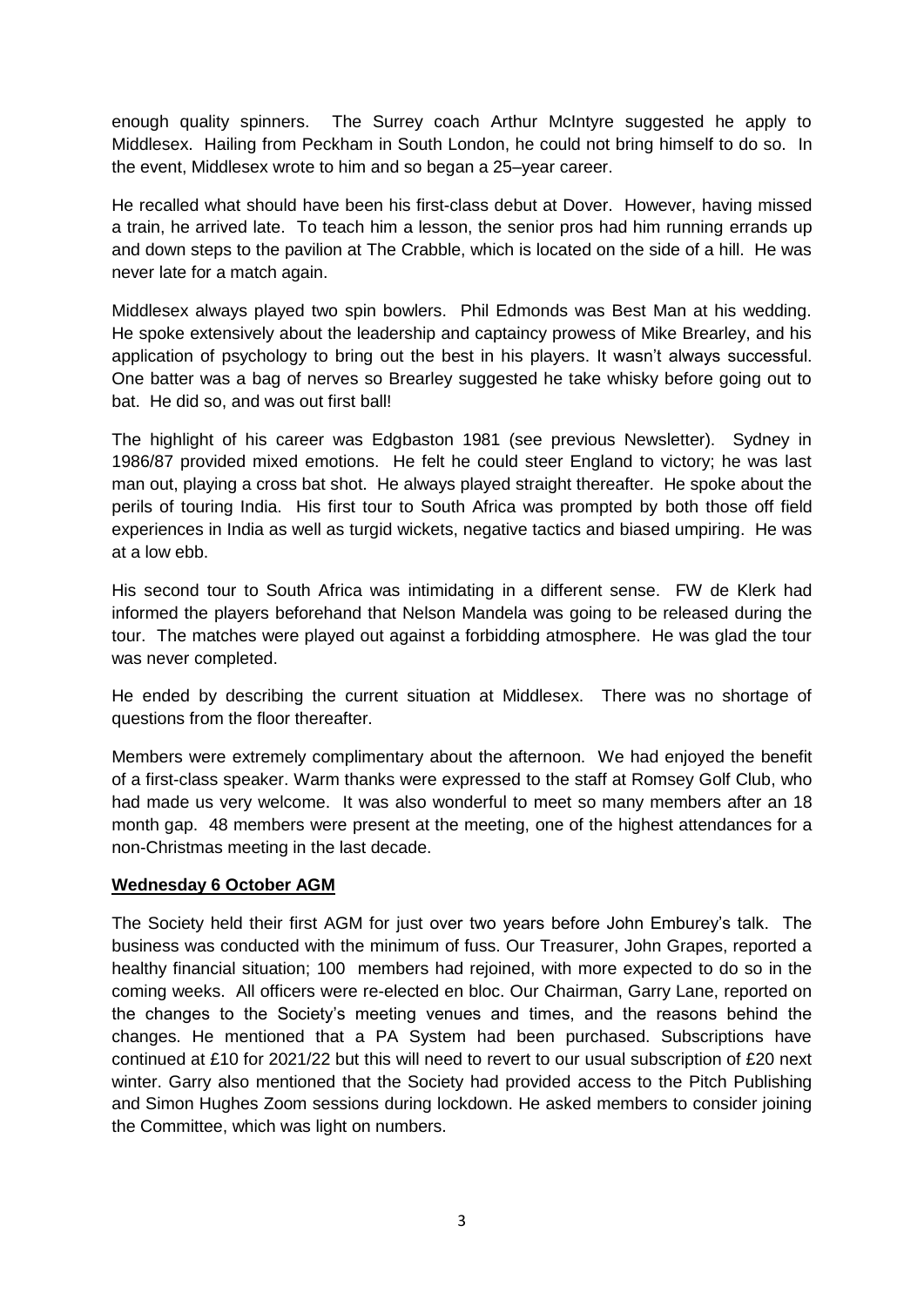enough quality spinners. The Surrey coach Arthur McIntyre suggested he apply to Middlesex. Hailing from Peckham in South London, he could not bring himself to do so. In the event, Middlesex wrote to him and so began a 25–year career.

He recalled what should have been his first-class debut at Dover. However, having missed a train, he arrived late. To teach him a lesson, the senior pros had him running errands up and down steps to the pavilion at The Crabble, which is located on the side of a hill. He was never late for a match again.

Middlesex always played two spin bowlers. Phil Edmonds was Best Man at his wedding. He spoke extensively about the leadership and captaincy prowess of Mike Brearley, and his application of psychology to bring out the best in his players. It wasn't always successful. One batter was a bag of nerves so Brearley suggested he take whisky before going out to bat. He did so, and was out first ball!

The highlight of his career was Edgbaston 1981 (see previous Newsletter). Sydney in 1986/87 provided mixed emotions. He felt he could steer England to victory; he was last man out, playing a cross bat shot. He always played straight thereafter. He spoke about the perils of touring India. His first tour to South Africa was prompted by both those off field experiences in India as well as turgid wickets, negative tactics and biased umpiring. He was at a low ebb.

His second tour to South Africa was intimidating in a different sense. FW de Klerk had informed the players beforehand that Nelson Mandela was going to be released during the tour. The matches were played out against a forbidding atmosphere. He was glad the tour was never completed.

He ended by describing the current situation at Middlesex. There was no shortage of questions from the floor thereafter.

Members were extremely complimentary about the afternoon. We had enjoyed the benefit of a first-class speaker. Warm thanks were expressed to the staff at Romsey Golf Club, who had made us very welcome. It was also wonderful to meet so many members after an 18 month gap. 48 members were present at the meeting, one of the highest attendances for a non-Christmas meeting in the last decade.

#### **Wednesday 6 October AGM**

The Society held their first AGM for just over two years before John Emburey's talk. The business was conducted with the minimum of fuss. Our Treasurer, John Grapes, reported a healthy financial situation; 100 members had rejoined, with more expected to do so in the coming weeks. All officers were re-elected en bloc. Our Chairman, Garry Lane, reported on the changes to the Society's meeting venues and times, and the reasons behind the changes. He mentioned that a PA System had been purchased. Subscriptions have continued at £10 for 2021/22 but this will need to revert to our usual subscription of £20 next winter. Garry also mentioned that the Society had provided access to the Pitch Publishing and Simon Hughes Zoom sessions during lockdown. He asked members to consider joining the Committee, which was light on numbers.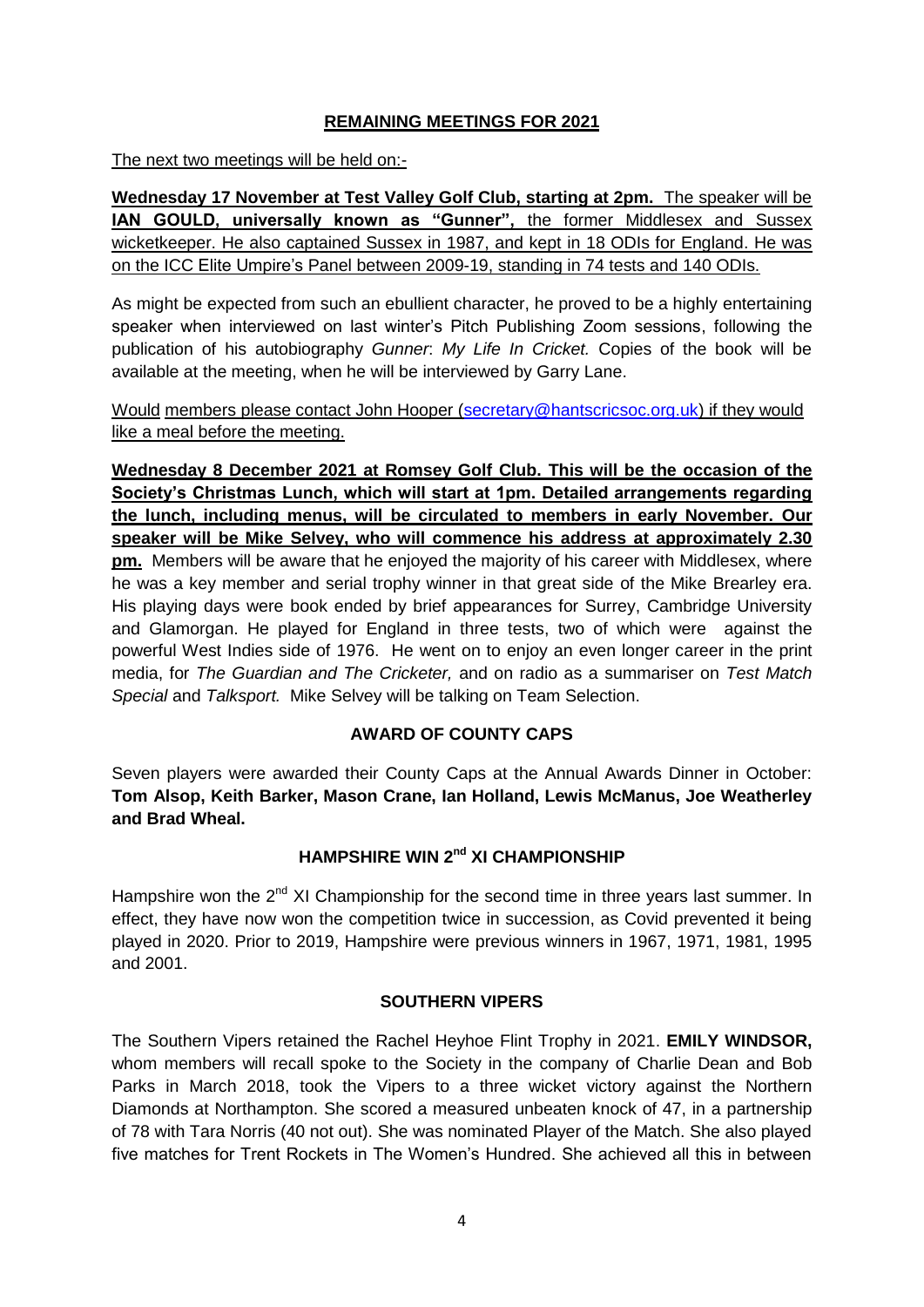# **REMAINING MEETINGS FOR 2021**

The next two meetings will be held on:-

**Wednesday 17 November at Test Valley Golf Club, starting at 2pm.** The speaker will be **IAN GOULD, universally known as "Gunner",** the former Middlesex and Sussex wicketkeeper. He also captained Sussex in 1987, and kept in 18 ODIs for England. He was on the ICC Elite Umpire's Panel between 2009-19, standing in 74 tests and 140 ODIs.

As might be expected from such an ebullient character, he proved to be a highly entertaining speaker when interviewed on last winter's Pitch Publishing Zoom sessions, following the publication of his autobiography *Gunner*: *My Life In Cricket.* Copies of the book will be available at the meeting, when he will be interviewed by Garry Lane.

Would members please contact John Hooper [\(secretary@hantscricsoc.org.uk\)](mailto:secretary@hantscricsoc.org.uk) if they would like a meal before the meeting.

**Wednesday 8 December 2021 at Romsey Golf Club. This will be the occasion of the Society's Christmas Lunch, which will start at 1pm. Detailed arrangements regarding the lunch, including menus, will be circulated to members in early November. Our speaker will be Mike Selvey, who will commence his address at approximately 2.30 pm.** Members will be aware that he enjoyed the majority of his career with Middlesex, where he was a key member and serial trophy winner in that great side of the Mike Brearley era. His playing days were book ended by brief appearances for Surrey, Cambridge University and Glamorgan. He played for England in three tests, two of which were against the powerful West Indies side of 1976. He went on to enjoy an even longer career in the print media, for *The Guardian and The Cricketer,* and on radio as a summariser on *Test Match Special* and *Talksport.* Mike Selvey will be talking on Team Selection.

# **AWARD OF COUNTY CAPS**

Seven players were awarded their County Caps at the Annual Awards Dinner in October: **Tom Alsop, Keith Barker, Mason Crane, Ian Holland, Lewis McManus, Joe Weatherley and Brad Wheal.**

# **HAMPSHIRE WIN 2nd XI CHAMPIONSHIP**

Hampshire won the  $2^{nd}$  XI Championship for the second time in three years last summer. In effect, they have now won the competition twice in succession, as Covid prevented it being played in 2020. Prior to 2019, Hampshire were previous winners in 1967, 1971, 1981, 1995 and 2001.

# **SOUTHERN VIPERS**

The Southern Vipers retained the Rachel Heyhoe Flint Trophy in 2021. **EMILY WINDSOR,**  whom members will recall spoke to the Society in the company of Charlie Dean and Bob Parks in March 2018, took the Vipers to a three wicket victory against the Northern Diamonds at Northampton. She scored a measured unbeaten knock of 47, in a partnership of 78 with Tara Norris (40 not out). She was nominated Player of the Match. She also played five matches for Trent Rockets in The Women's Hundred. She achieved all this in between